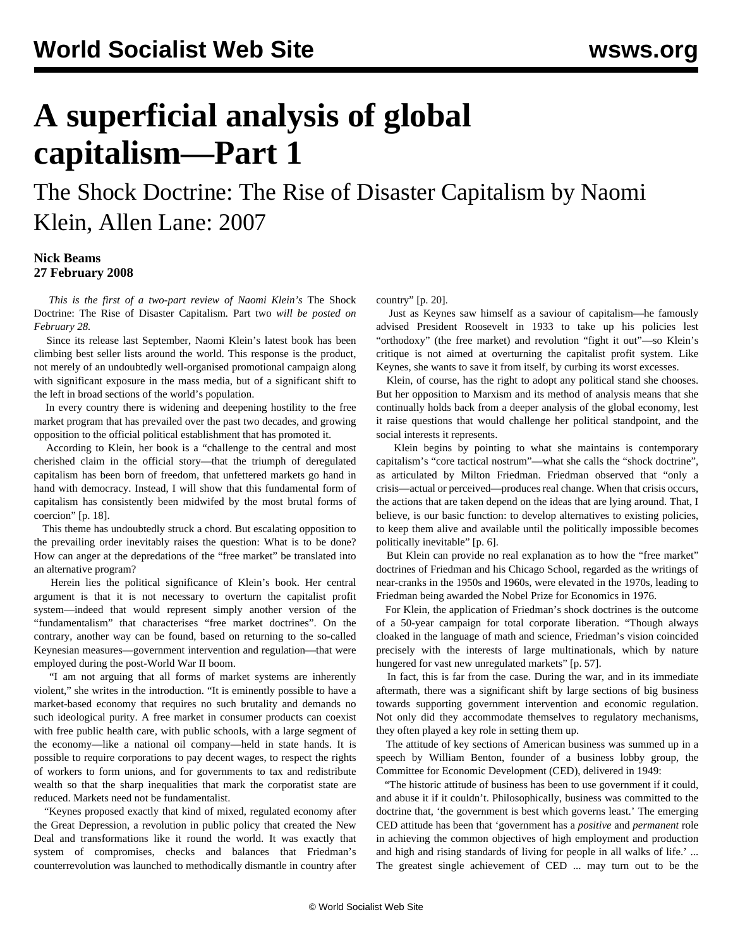# **A superficial analysis of global capitalism—Part 1**

## The Shock Doctrine: The Rise of Disaster Capitalism by Naomi Klein, Allen Lane: 2007

#### **Nick Beams 27 February 2008**

 *This is the first of a two-part review of Naomi Klein's* The Shock Doctrine: The Rise of Disaster Capitalism*.* [Part two](/en/articles/2008/02/kle2-f28.html) *will be posted on February 28.*

 Since its release last September, Naomi Klein's latest book has been climbing best seller lists around the world. This response is the product, not merely of an undoubtedly well-organised promotional campaign along with significant exposure in the mass media, but of a significant shift to the left in broad sections of the world's population.

 In every country there is widening and deepening hostility to the free market program that has prevailed over the past two decades, and growing opposition to the official political establishment that has promoted it.

 According to Klein, her book is a "challenge to the central and most cherished claim in the official story—that the triumph of deregulated capitalism has been born of freedom, that unfettered markets go hand in hand with democracy. Instead, I will show that this fundamental form of capitalism has consistently been midwifed by the most brutal forms of coercion" [p. 18].

 This theme has undoubtedly struck a chord. But escalating opposition to the prevailing order inevitably raises the question: What is to be done? How can anger at the depredations of the "free market" be translated into an alternative program?

 Herein lies the political significance of Klein's book. Her central argument is that it is not necessary to overturn the capitalist profit system—indeed that would represent simply another version of the "fundamentalism" that characterises "free market doctrines". On the contrary, another way can be found, based on returning to the so-called Keynesian measures—government intervention and regulation—that were employed during the post-World War II boom.

 "I am not arguing that all forms of market systems are inherently violent," she writes in the introduction. "It is eminently possible to have a market-based economy that requires no such brutality and demands no such ideological purity. A free market in consumer products can coexist with free public health care, with public schools, with a large segment of the economy—like a national oil company—held in state hands. It is possible to require corporations to pay decent wages, to respect the rights of workers to form unions, and for governments to tax and redistribute wealth so that the sharp inequalities that mark the corporatist state are reduced. Markets need not be fundamentalist.

 "Keynes proposed exactly that kind of mixed, regulated economy after the Great Depression, a revolution in public policy that created the New Deal and transformations like it round the world. It was exactly that system of compromises, checks and balances that Friedman's counterrevolution was launched to methodically dismantle in country after country" [p. 20].

 Just as Keynes saw himself as a saviour of capitalism—he famously advised President Roosevelt in 1933 to take up his policies lest "orthodoxy" (the free market) and revolution "fight it out"—so Klein's critique is not aimed at overturning the capitalist profit system. Like Keynes, she wants to save it from itself, by curbing its worst excesses.

 Klein, of course, has the right to adopt any political stand she chooses. But her opposition to Marxism and its method of analysis means that she continually holds back from a deeper analysis of the global economy, lest it raise questions that would challenge her political standpoint, and the social interests it represents.

 Klein begins by pointing to what she maintains is contemporary capitalism's "core tactical nostrum"—what she calls the "shock doctrine", as articulated by Milton Friedman. Friedman observed that "only a crisis—actual or perceived—produces real change. When that crisis occurs, the actions that are taken depend on the ideas that are lying around. That, I believe, is our basic function: to develop alternatives to existing policies, to keep them alive and available until the politically impossible becomes politically inevitable" [p. 6].

 But Klein can provide no real explanation as to how the "free market" doctrines of Friedman and his Chicago School, regarded as the writings of near-cranks in the 1950s and 1960s, were elevated in the 1970s, leading to Friedman being awarded the Nobel Prize for Economics in 1976.

 For Klein, the application of Friedman's shock doctrines is the outcome of a 50-year campaign for total corporate liberation. "Though always cloaked in the language of math and science, Friedman's vision coincided precisely with the interests of large multinationals, which by nature hungered for vast new unregulated markets" [p. 57].

 In fact, this is far from the case. During the war, and in its immediate aftermath, there was a significant shift by large sections of big business towards supporting government intervention and economic regulation. Not only did they accommodate themselves to regulatory mechanisms, they often played a key role in setting them up.

 The attitude of key sections of American business was summed up in a speech by William Benton, founder of a business lobby group, the Committee for Economic Development (CED), delivered in 1949:

 "The historic attitude of business has been to use government if it could, and abuse it if it couldn't. Philosophically, business was committed to the doctrine that, 'the government is best which governs least.' The emerging CED attitude has been that 'government has a *positive* and *permanent* role in achieving the common objectives of high employment and production and high and rising standards of living for people in all walks of life.' ... The greatest single achievement of CED ... may turn out to be the